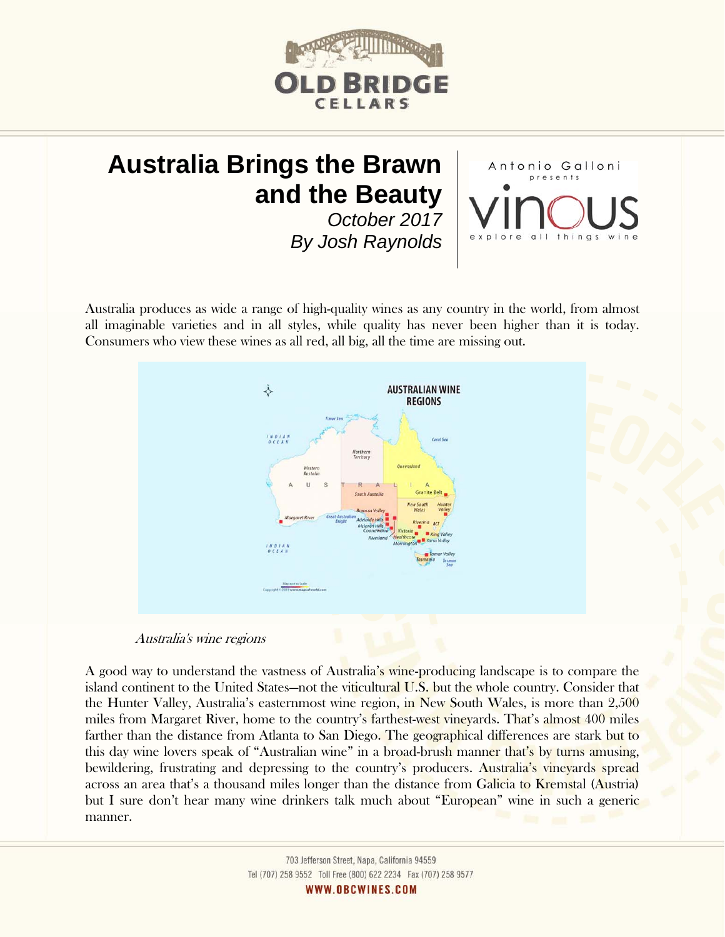

# **Australia Brings the Brawn and the Beauty**

*October 2017 By Josh Raynolds*  Antonio Galloni

Australia produces as wide a range of high-quality wines as any country in the world, from almost all imaginable varieties and in all styles, while quality has never been higher than it is today. Consumers who view these wines as all red, all big, all the time are missing out.



## Australia's wine regions

A good way to understand the vastness of Australia's wine-producing landscape is to compare the island continent to the United States—not the viticultural U.S. but the whole country. Consider that the Hunter Valley, Australia's easternmost wine region, in New South Wales, is more than 2,500 miles from Margaret River, home to the country's farthest-west vineyards. That's almost 400 miles farther than the distance from Atlanta to San Diego. The geographical differences are stark but to this day wine lovers speak of "Australian wine" in a broad-brush manner that's by turns amusing, bewildering, frustrating and depressing to the country's producers. Australia's vineyards spread across an area that's a thousand miles longer than the distance from Galicia to Kremstal (Austria) but I sure don't hear many wine drinkers talk much about "European" wine in such a generic manner.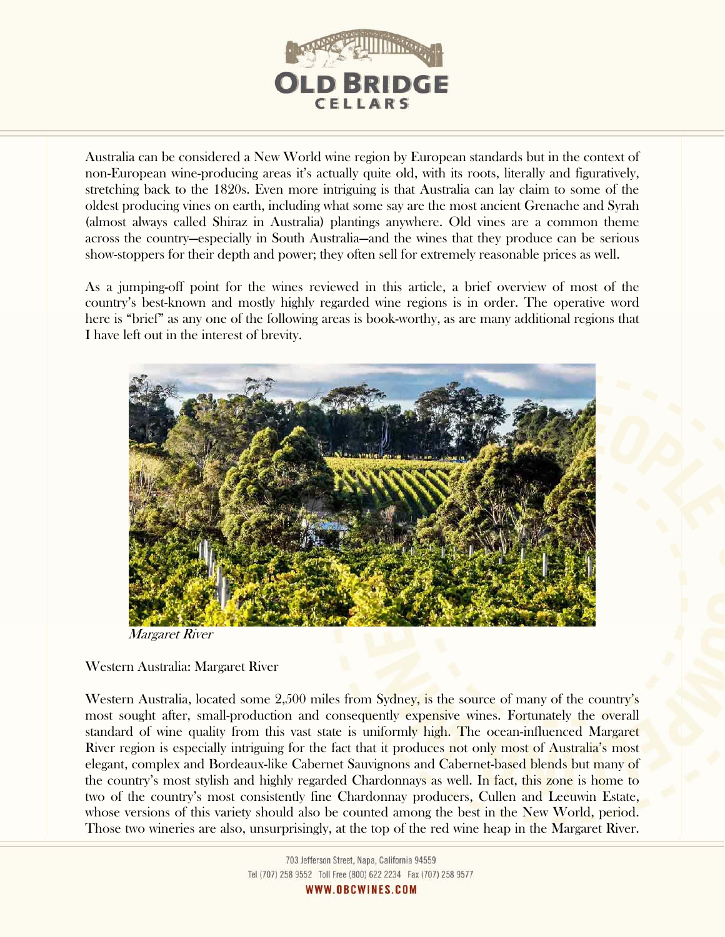

Australia can be considered a New World wine region by European standards but in the context of non-European wine-producing areas it's actually quite old, with its roots, literally and figuratively, stretching back to the 1820s. Even more intriguing is that Australia can lay claim to some of the oldest producing vines on earth, including what some say are the most ancient Grenache and Syrah (almost always called Shiraz in Australia) plantings anywhere. Old vines are a common theme across the country—especially in South Australia—and the wines that they produce can be serious show-stoppers for their depth and power; they often sell for extremely reasonable prices as well.

As a jumping-off point for the wines reviewed in this article, a brief overview of most of the country's best-known and mostly highly regarded wine regions is in order. The operative word here is "brief" as any one of the following areas is book-worthy, as are many additional regions that I have left out in the interest of brevity.



Margaret River

# Western Australia: Margaret River

Western Australia, located some 2,500 miles from Sydney, is the source of many of the country's most sought after, small-production and consequently expensive wines. Fortunately the overall standard of wine quality from this vast state is uniformly high. The ocean-influenced Margaret River region is especially intriguing for the fact that it produces not only most of Australia's most elegant, complex and Bordeaux-like Cabernet Sauvignons and Cabernet-based blends but many of the country's most stylish and highly regarded Chardonnays as well. In fact, this zone is home to two of the country's most consistently fine Chardonnay producers, Cullen and Leeuwin Estate, whose versions of this variety should also be counted among the best in the New World, period. Those two wineries are also, unsurprisingly, at the top of the red wine heap in the Margaret River.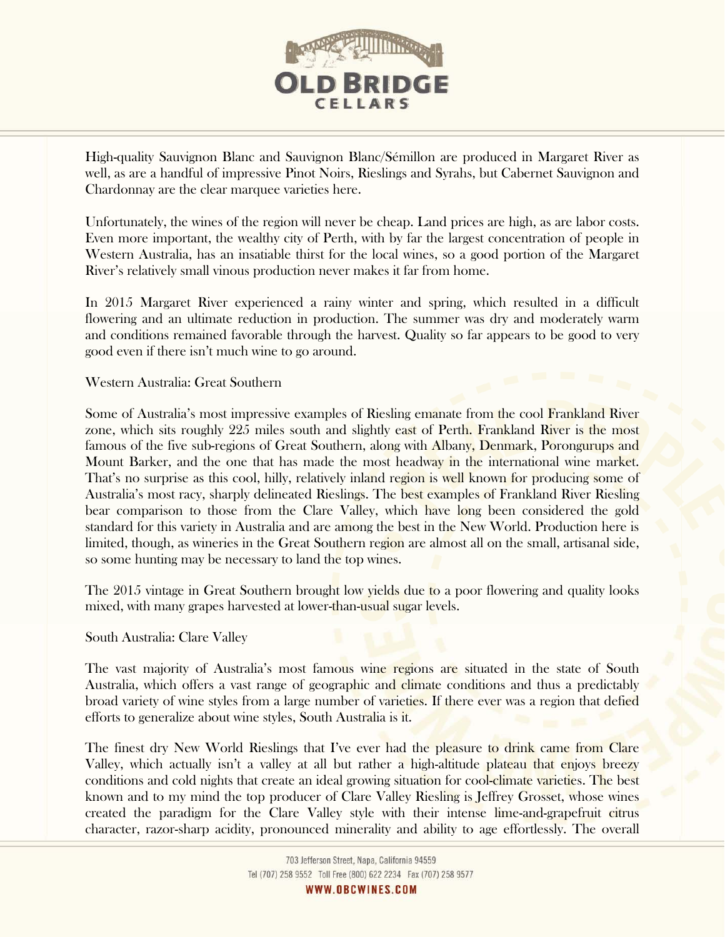

High-quality Sauvignon Blanc and Sauvignon Blanc/Sémillon are produced in Margaret River as well, as are a handful of impressive Pinot Noirs, Rieslings and Syrahs, but Cabernet Sauvignon and Chardonnay are the clear marquee varieties here.

Unfortunately, the wines of the region will never be cheap. Land prices are high, as are labor costs. Even more important, the wealthy city of Perth, with by far the largest concentration of people in Western Australia, has an insatiable thirst for the local wines, so a good portion of the Margaret River's relatively small vinous production never makes it far from home.

In 2015 Margaret River experienced a rainy winter and spring, which resulted in a difficult flowering and an ultimate reduction in production. The summer was dry and moderately warm and conditions remained favorable through the harvest. Quality so far appears to be good to very good even if there isn't much wine to go around.

Western Australia: Great Southern

Some of Australia's most impressive examples of Riesling emanate from the cool Frankland River zone, which sits roughly 225 miles south and slightly east of Perth. Frankland River is the most famous of the five sub-regions of Great Southern, along with Albany, Denmark, Porongurups and Mount Barker, and the one that has made the most headway in the international wine market. That's no surprise as this cool, hilly, relatively inland region is well known for producing some of Australia's most racy, sharply delineated Rieslings. The best examples of Frankland River Riesling bear comparison to those from the Clare Valley, which have long been considered the gold standard for this variety in Australia and are among the best in the New World. Production here is limited, though, as wineries in the Great Southern region are almost all on the small, artisanal side, so some hunting may be necessary to land the top wines.

The 2015 vintage in Great Southern brought low yields due to a poor flowering and quality looks mixed, with many grapes harvested at lower-than-usual sugar levels.

# South Australia: Clare Valley

The vast majority of Australia's most famous wine regions are situated in the state of South Australia, which offers a vast range of geographic and climate conditions and thus a predictably broad variety of wine styles from a large number of varieties. If there ever was a region that defied efforts to generalize about wine styles, South Australia is it.

The finest dry New World Rieslings that I've ever had the pleasure to drink came from Clare Valley, which actually isn't a valley at all but rather a high-altitude plateau that enjoys breezy conditions and cold nights that create an ideal growing situation for cool-climate varieties. The best known and to my mind the top producer of Clare Valley Riesling is Jeffrey Grosset, whose wines created the paradigm for the Clare Valley style with their intense lime-and-grapefruit citrus character, razor-sharp acidity, pronounced minerality and ability to age effortlessly. The overall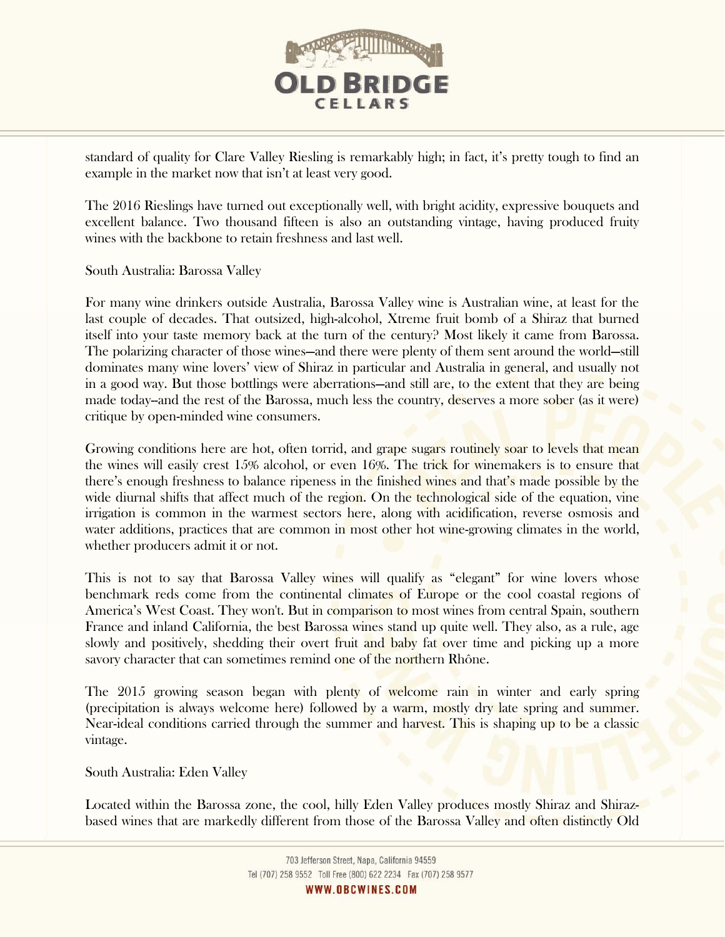

standard of quality for Clare Valley Riesling is remarkably high; in fact, it's pretty tough to find an example in the market now that isn't at least very good.

The 2016 Rieslings have turned out exceptionally well, with bright acidity, expressive bouquets and excellent balance. Two thousand fifteen is also an outstanding vintage, having produced fruity wines with the backbone to retain freshness and last well.

South Australia: Barossa Valley

For many wine drinkers outside Australia, Barossa Valley wine is Australian wine, at least for the last couple of decades. That outsized, high-alcohol, Xtreme fruit bomb of a Shiraz that burned itself into your taste memory back at the turn of the century? Most likely it came from Barossa. The polarizing character of those wines—and there were plenty of them sent around the world—still dominates many wine lovers' view of Shiraz in particular and Australia in general, and usually not in a good way. But those bottlings were aberrations—and still are, to the extent that they are being made today--and the rest of the Barossa, much less the country, deserves a more sober (as it were) critique by open-minded wine consumers.

Growing conditions here are hot, often torrid, and grape sugars routinely soar to levels that mean the wines will easily crest 15% alcohol, or even 16%. The trick for winemakers is to ensure that there's enough freshness to balance ripeness in the finished wines and that's made possible by the wide diurnal shifts that affect much of the region. On the technological side of the equation, vine irrigation is common in the warmest sectors here, along with acidification, reverse osmosis and water additions, practices that are common in most other hot wine-growing climates in the world, whether producers admit it or not.

This is not to say that Barossa Valley wines will qualify as "elegant" for wine lovers whose benchmark reds come from the continental climates of Europe or the cool coastal regions of America's West Coast. They won't. But in comparison to most wines from central Spain, southern France and inland California, the best Barossa wines stand up quite well. They also, as a rule, age slowly and positively, shedding their overt fruit and baby fat over time and picking up a more savory character that can sometimes remind one of the northern Rhône.

The 2015 growing season began with plenty of welcome rain in winter and early spring (precipitation is always welcome here) followed by a warm, mostly dry late spring and summer. Near-ideal conditions carried through the summer and harvest. This is shaping up to be a classic vintage.

South Australia: Eden Valley

Located within the Barossa zone, the cool, hilly Eden Valley produces mostly Shiraz and Shirazbased wines that are markedly different from those of the Barossa Valley and often distinctly Old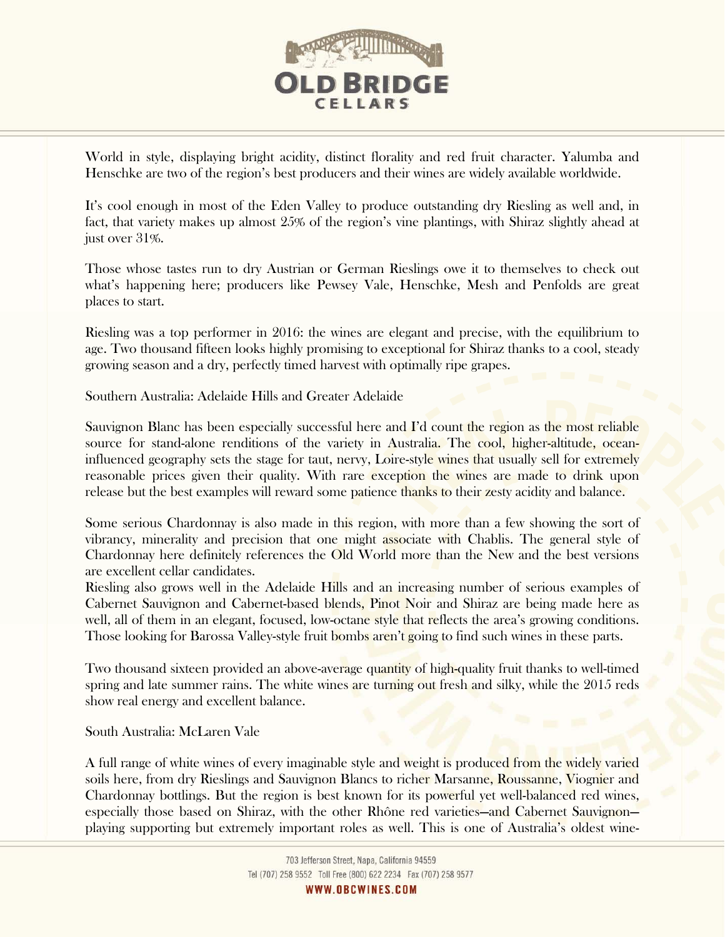

World in style, displaying bright acidity, distinct florality and red fruit character. Yalumba and Henschke are two of the region's best producers and their wines are widely available worldwide.

It's cool enough in most of the Eden Valley to produce outstanding dry Riesling as well and, in fact, that variety makes up almost 25% of the region's vine plantings, with Shiraz slightly ahead at just over 31%.

Those whose tastes run to dry Austrian or German Rieslings owe it to themselves to check out what's happening here; producers like Pewsey Vale, Henschke, Mesh and Penfolds are great places to start.

Riesling was a top performer in 2016: the wines are elegant and precise, with the equilibrium to age. Two thousand fifteen looks highly promising to exceptional for Shiraz thanks to a cool, steady growing season and a dry, perfectly timed harvest with optimally ripe grapes.

Southern Australia: Adelaide Hills and Greater Adelaide

Sauvignon Blanc has been especially successful here and I'd count the region as the most reliable source for stand-alone renditions of the variety in Australia. The cool, higher-altitude, oceaninfluenced geography sets the stage for taut, nervy, Loire-style wines that usually sell for extremely reasonable prices given their quality. With rare exception the wines are made to drink upon release but the best examples will reward some patience thanks to their zesty acidity and balance.

Some serious Chardonnay is also made in this region, with more than a few showing the sort of vibrancy, minerality and precision that one might associate with Chablis. The general style of Chardonnay here definitely references the Old World more than the New and the best versions are excellent cellar candidates.

Riesling also grows well in the Adelaide Hills and an increasing number of serious examples of Cabernet Sauvignon and Cabernet-based blends, Pinot Noir and Shiraz are being made here as well, all of them in an elegant, focused, low-octane style that reflects the area's growing conditions. Those looking for Barossa Valley-style fruit bombs aren't going to find such wines in these parts.

Two thousand sixteen provided an above-average quantity of high-quality fruit thanks to well-timed spring and late summer rains. The white wines are turning out fresh and silky, while the 2015 reds show real energy and excellent balance.

South Australia: McLaren Vale

A full range of white wines of every imaginable style and weight is produced from the widely varied soils here, from dry Rieslings and Sauvignon Blancs to richer Marsanne, Roussanne, Viognier and Chardonnay bottlings. But the region is best known for its powerful yet well-balanced red wines, especially those based on Shiraz, with the other Rhône red varieties—and Cabernet Sauvignon playing supporting but extremely important roles as well. This is one of Australia's oldest wine-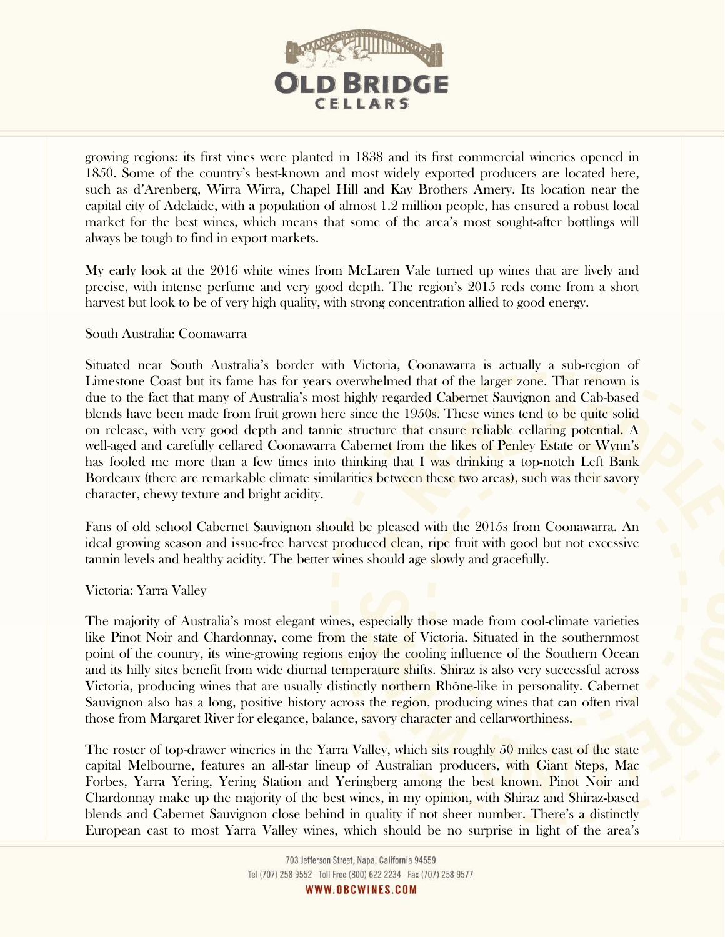

growing regions: its first vines were planted in 1838 and its first commercial wineries opened in 1850. Some of the country's best-known and most widely exported producers are located here, such as d'Arenberg, Wirra Wirra, Chapel Hill and Kay Brothers Amery. Its location near the capital city of Adelaide, with a population of almost 1.2 million people, has ensured a robust local market for the best wines, which means that some of the area's most sought-after bottlings will always be tough to find in export markets.

My early look at the 2016 white wines from McLaren Vale turned up wines that are lively and precise, with intense perfume and very good depth. The region's 2015 reds come from a short harvest but look to be of very high quality, with strong concentration allied to good energy.

## South Australia: Coonawarra

Situated near South Australia's border with Victoria, Coonawarra is actually a sub-region of Limestone Coast but its fame has for years overwhelmed that of the larger zone. That renown is due to the fact that many of Australia's most highly regarded Cabernet Sauvignon and Cab-based blends have been made from fruit grown here since the 1950s. These wines tend to be quite solid on release, with very good depth and tannic structure that ensure reliable cellaring potential. A well-aged and carefully cellared Coonawarra Cabernet from the likes of Penley Estate or Wynn's has fooled me more than a few times into thinking that I was drinking a top-notch Left Bank Bordeaux (there are remarkable climate similarities between these two areas), such was their savory character, chewy texture and bright acidity.

Fans of old school Cabernet Sauvignon should be pleased with the 2015s from Coonawarra. An ideal growing season and issue-free harvest produced clean, ripe fruit with good but not excessive tannin levels and healthy acidity. The better wines should age slowly and gracefully.

## Victoria: Yarra Valley

The majority of Australia's most elegant wines, especially those made from cool-climate varieties like Pinot Noir and Chardonnay, come from the state of Victoria. Situated in the southernmost point of the country, its wine-growing regions enjoy the cooling influence of the Southern Ocean and its hilly sites benefit from wide diurnal temperature shifts. Shiraz is also very successful across Victoria, producing wines that are usually distinctly northern Rhône-like in personality. Cabernet Sauvignon also has a long, positive history across the region, producing wines that can often rival those from Margaret River for elegance, balance, savory character and cellarworthiness.

The roster of top-drawer wineries in the Yarra Valley, which sits roughly 50 miles east of the state capital Melbourne, features an all-star lineup of Australian producers, with Giant Steps, Mac Forbes, Yarra Yering, Yering Station and Yeringberg among the best known. Pinot Noir and Chardonnay make up the majority of the best wines, in my opinion, with Shiraz and Shiraz-based blends and Cabernet Sauvignon close behind in quality if not sheer number. There's a distinctly European cast to most Yarra Valley wines, which should be no surprise in light of the area's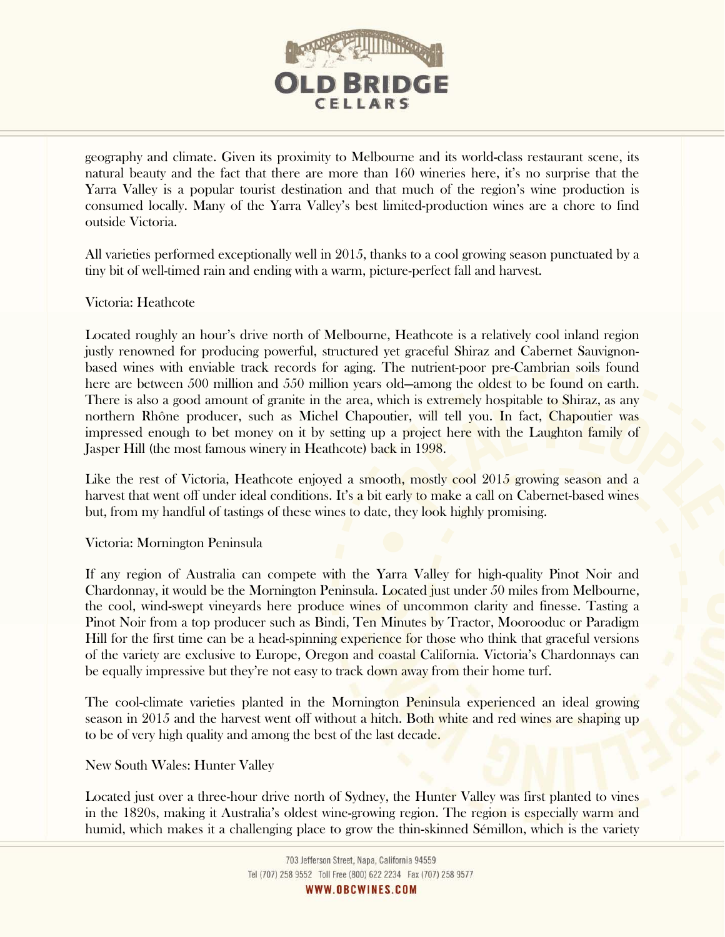

geography and climate. Given its proximity to Melbourne and its world-class restaurant scene, its natural beauty and the fact that there are more than 160 wineries here, it's no surprise that the Yarra Valley is a popular tourist destination and that much of the region's wine production is consumed locally. Many of the Yarra Valley's best limited-production wines are a chore to find outside Victoria.

All varieties performed exceptionally well in 2015, thanks to a cool growing season punctuated by a tiny bit of well-timed rain and ending with a warm, picture-perfect fall and harvest.

Victoria: Heathcote

Located roughly an hour's drive north of Melbourne, Heathcote is a relatively cool inland region justly renowned for producing powerful, structured yet graceful Shiraz and Cabernet Sauvignonbased wines with enviable track records for aging. The nutrient-poor pre-Cambrian soils found here are between 500 million and 550 million years old—among the oldest to be found on earth. There is also a good amount of granite in the area, which is extremely hospitable to Shiraz, as any northern Rhône producer, such as Michel Chapoutier, will tell you. In fact, Chapoutier was impressed enough to bet money on it by setting up a project here with the Laughton family of Jasper Hill (the most famous winery in Heathcote) back in 1998.

Like the rest of Victoria, Heathcote enjoyed a smooth, mostly cool 2015 growing season and a harvest that went off under ideal conditions. It's a bit early to make a call on Cabernet-based wines but, from my handful of tastings of these wines to date, they look highly promising.

Victoria: Mornington Peninsula

If any region of Australia can compete with the Yarra Valley for high-quality Pinot Noir and Chardonnay, it would be the Mornington Peninsula. Located just under 50 miles from Melbourne, the cool, wind-swept vineyards here produce wines of uncommon clarity and finesse. Tasting a Pinot Noir from a top producer such as Bindi, Ten Minutes by Tractor, Moorooduc or Paradigm Hill for the first time can be a head-spinning experience for those who think that graceful versions of the variety are exclusive to Europe, Oregon and coastal California. Victoria's Chardonnays can be equally impressive but they're not easy to track down away from their home turf.

The cool-climate varieties planted in the Mornington Peninsula experienced an ideal growing season in 2015 and the harvest went off without a hitch. Both white and red wines are shaping up to be of very high quality and among the best of the last decade.

New South Wales: Hunter Valley

Located just over a three-hour drive north of Sydney, the Hunter Valley was first planted to vines in the 1820s, making it Australia's oldest wine-growing region. The region is especially warm and humid, which makes it a challenging place to grow the thin-skinned Sémillon, which is the variety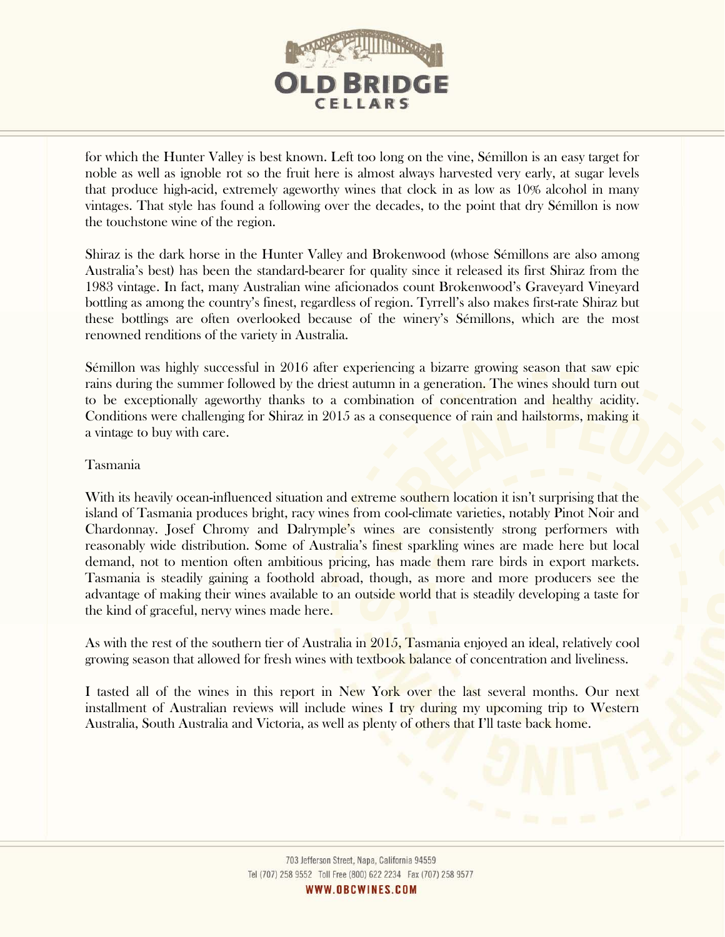

for which the Hunter Valley is best known. Left too long on the vine, Sémillon is an easy target for noble as well as ignoble rot so the fruit here is almost always harvested very early, at sugar levels that produce high-acid, extremely ageworthy wines that clock in as low as 10% alcohol in many vintages. That style has found a following over the decades, to the point that dry Sémillon is now the touchstone wine of the region.

Shiraz is the dark horse in the Hunter Valley and Brokenwood (whose Sémillons are also among Australia's best) has been the standard-bearer for quality since it released its first Shiraz from the 1983 vintage. In fact, many Australian wine aficionados count Brokenwood's Graveyard Vineyard bottling as among the country's finest, regardless of region. Tyrrell's also makes first-rate Shiraz but these bottlings are often overlooked because of the winery's Sémillons, which are the most renowned renditions of the variety in Australia.

Sémillon was highly successful in 2016 after experiencing a bizarre growing season that saw epic rains during the summer followed by the driest autumn in a generation. The wines should turn out to be exceptionally ageworthy thanks to a combination of concentration and healthy acidity. Conditions were challenging for Shiraz in 2015 as a consequence of rain and hailstorms, making it a vintage to buy with care.

## Tasmania

With its heavily ocean-influenced situation and extreme southern location it isn't surprising that the island of Tasmania produces bright, racy wines from cool-climate varieties, notably Pinot Noir and Chardonnay. Josef Chromy and Dalrymple's wines are consistently strong performers with reasonably wide distribution. Some of Australia's finest sparkling wines are made here but local demand, not to mention often ambitious pricing, has made them rare birds in export markets. Tasmania is steadily gaining a foothold abroad, though, as more and more producers see the advantage of making their wines available to an outside world that is steadily developing a taste for the kind of graceful, nervy wines made here.

As with the rest of the southern tier of Australia in 2015, Tasmania enjoyed an ideal, relatively cool growing season that allowed for fresh wines with textbook balance of concentration and liveliness.

I tasted all of the wines in this report in New York over the last several months. Our next installment of Australian reviews will include wines I try during my upcoming trip to Western Australia, South Australia and Victoria, as well as plenty of others that I'll taste back home.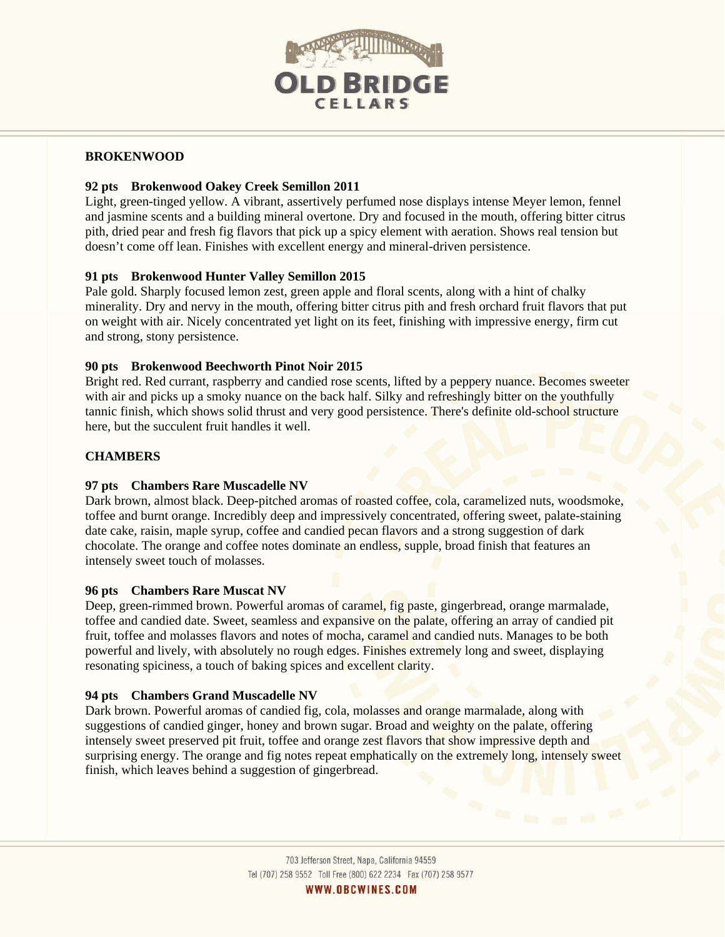

## **BROKENWOOD**

## **92 pts Brokenwood Oakey Creek Semillon 2011**

Light, green-tinged yellow. A vibrant, assertively perfumed nose displays intense Meyer lemon, fennel and jasmine scents and a building mineral overtone. Dry and focused in the mouth, offering bitter citrus pith, dried pear and fresh fig flavors that pick up a spicy element with aeration. Shows real tension but doesn't come off lean. Finishes with excellent energy and mineral-driven persistence.

## **91 pts Brokenwood Hunter Valley Semillon 2015**

Pale gold. Sharply focused lemon zest, green apple and floral scents, along with a hint of chalky minerality. Dry and nervy in the mouth, offering bitter citrus pith and fresh orchard fruit flavors that put on weight with air. Nicely concentrated yet light on its feet, finishing with impressive energy, firm cut and strong, stony persistence.

#### **90 pts Brokenwood Beechworth Pinot Noir 2015**

Bright red. Red currant, raspberry and candied rose scents, lifted by a peppery nuance. Becomes sweeter with air and picks up a smoky nuance on the back half. Silky and refreshingly bitter on the youthfully tannic finish, which shows solid thrust and very good persistence. There's definite old-school structure here, but the succulent fruit handles it well.

#### **CHAMBERS**

#### **97 pts Chambers Rare Muscadelle NV**

Dark brown, almost black. Deep-pitched aromas of roasted coffee, cola, caramelized nuts, woodsmoke, toffee and burnt orange. Incredibly deep and impressively concentrated, offering sweet, palate-staining date cake, raisin, maple syrup, coffee and candied pecan flavors and a strong suggestion of dark chocolate. The orange and coffee notes dominate an endless, supple, broad finish that features an intensely sweet touch of molasses.

#### **96 pts Chambers Rare Muscat NV**

Deep, green-rimmed brown. Powerful aromas of caramel, fig paste, gingerbread, orange marmalade, toffee and candied date. Sweet, seamless and expansive on the palate, offering an array of candied pit fruit, toffee and molasses flavors and notes of mocha, caramel and candied nuts. Manages to be both powerful and lively, with absolutely no rough edges. Finishes extremely long and sweet, displaying resonating spiciness, a touch of baking spices and excellent clarity.

#### **94 pts Chambers Grand Muscadelle NV**

Dark brown. Powerful aromas of candied fig, cola, molasses and orange marmalade, along with suggestions of candied ginger, honey and brown sugar. Broad and weighty on the palate, offering intensely sweet preserved pit fruit, toffee and orange zest flavors that show impressive depth and surprising energy. The orange and fig notes repeat emphatically on the extremely long, intensely sweet finish, which leaves behind a suggestion of gingerbread.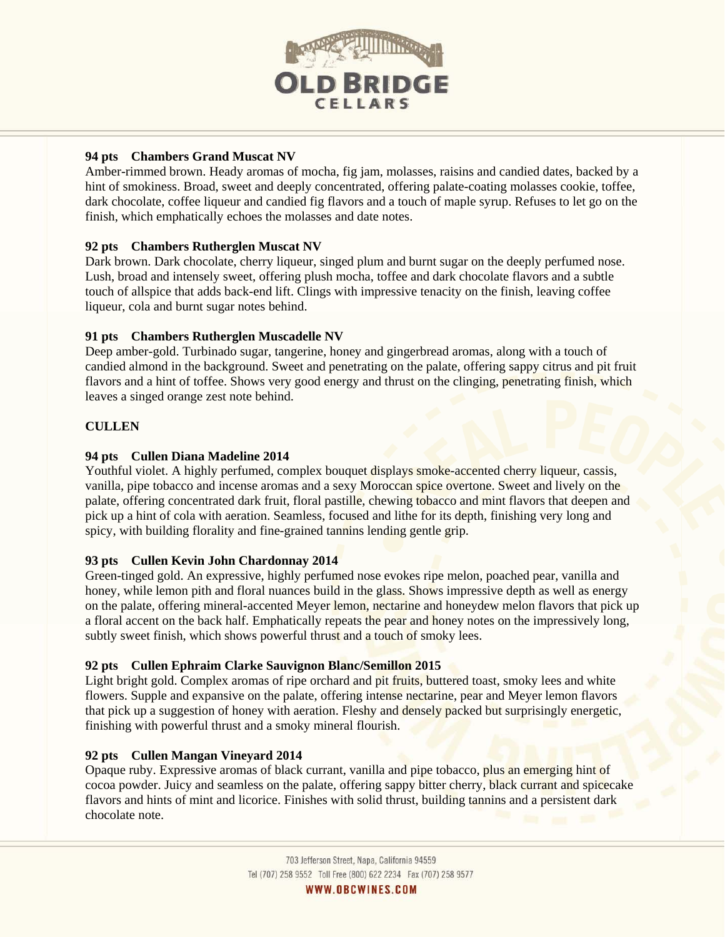

## **94 pts Chambers Grand Muscat NV**

Amber-rimmed brown. Heady aromas of mocha, fig jam, molasses, raisins and candied dates, backed by a hint of smokiness. Broad, sweet and deeply concentrated, offering palate-coating molasses cookie, toffee, dark chocolate, coffee liqueur and candied fig flavors and a touch of maple syrup. Refuses to let go on the finish, which emphatically echoes the molasses and date notes.

# **92 pts Chambers Rutherglen Muscat NV**

Dark brown. Dark chocolate, cherry liqueur, singed plum and burnt sugar on the deeply perfumed nose. Lush, broad and intensely sweet, offering plush mocha, toffee and dark chocolate flavors and a subtle touch of allspice that adds back-end lift. Clings with impressive tenacity on the finish, leaving coffee liqueur, cola and burnt sugar notes behind.

## **91 pts Chambers Rutherglen Muscadelle NV**

Deep amber-gold. Turbinado sugar, tangerine, honey and gingerbread aromas, along with a touch of candied almond in the background. Sweet and penetrating on the palate, offering sappy citrus and pit fruit flavors and a hint of toffee. Shows very good energy and thrust on the clinging, penetrating finish, which leaves a singed orange zest note behind.

## **CULLEN**

## **94 pts Cullen Diana Madeline 2014**

Youthful violet. A highly perfumed, complex bouquet displays smoke-accented cherry liqueur, cassis, vanilla, pipe tobacco and incense aromas and a sexy Moroccan spice overtone. Sweet and lively on the palate, offering concentrated dark fruit, floral pastille, chewing tobacco and mint flavors that deepen and pick up a hint of cola with aeration. Seamless, focused and lithe for its depth, finishing very long and spicy, with building florality and fine-grained tannins lending gentle grip.

## **93 pts Cullen Kevin John Chardonnay 2014**

Green-tinged gold. An expressive, highly perfumed nose evokes ripe melon, poached pear, vanilla and honey, while lemon pith and floral nuances build in the glass. Shows impressive depth as well as energy on the palate, offering mineral-accented Meyer lemon, nectarine and honeydew melon flavors that pick up a floral accent on the back half. Emphatically repeats the pear and honey notes on the impressively long, subtly sweet finish, which shows powerful thrust and a touch of smoky lees.

## **92 pts Cullen Ephraim Clarke Sauvignon Blanc/Semillon 2015**

Light bright gold. Complex aromas of ripe orchard and pit fruits, buttered toast, smoky lees and white flowers. Supple and expansive on the palate, offering intense nectarine, pear and Meyer lemon flavors that pick up a suggestion of honey with aeration. Fleshy and densely packed but surprisingly energetic, finishing with powerful thrust and a smoky mineral flourish.

## **92 pts Cullen Mangan Vineyard 2014**

Opaque ruby. Expressive aromas of black currant, vanilla and pipe tobacco, plus an emerging hint of cocoa powder. Juicy and seamless on the palate, offering sappy bitter cherry, black currant and spicecake flavors and hints of mint and licorice. Finishes with solid thrust, building tannins and a persistent dark chocolate note.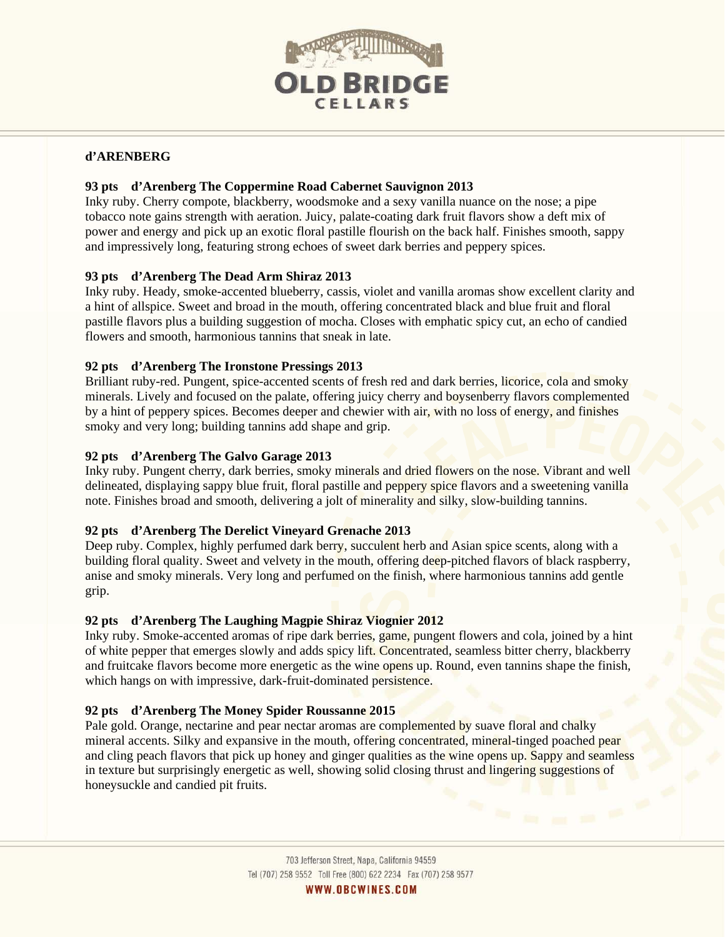

## **d'ARENBERG**

## **93 pts d'Arenberg The Coppermine Road Cabernet Sauvignon 2013**

Inky ruby. Cherry compote, blackberry, woodsmoke and a sexy vanilla nuance on the nose; a pipe tobacco note gains strength with aeration. Juicy, palate-coating dark fruit flavors show a deft mix of power and energy and pick up an exotic floral pastille flourish on the back half. Finishes smooth, sappy and impressively long, featuring strong echoes of sweet dark berries and peppery spices.

## **93 pts d'Arenberg The Dead Arm Shiraz 2013**

Inky ruby. Heady, smoke-accented blueberry, cassis, violet and vanilla aromas show excellent clarity and a hint of allspice. Sweet and broad in the mouth, offering concentrated black and blue fruit and floral pastille flavors plus a building suggestion of mocha. Closes with emphatic spicy cut, an echo of candied flowers and smooth, harmonious tannins that sneak in late.

## **92 pts d'Arenberg The Ironstone Pressings 2013**

Brilliant ruby-red. Pungent, spice-accented scents of fresh red and dark berries, licorice, cola and smoky minerals. Lively and focused on the palate, offering juicy cherry and boysenberry flavors complemented by a hint of peppery spices. Becomes deeper and chewier with air, with no loss of energy, and finishes smoky and very long; building tannins add shape and grip.

## **92 pts d'Arenberg The Galvo Garage 2013**

Inky ruby. Pungent cherry, dark berries, smoky minerals and dried flowers on the nose. Vibrant and well delineated, displaying sappy blue fruit, floral pastille and peppery spice flavors and a sweetening vanilla note. Finishes broad and smooth, delivering a jolt of minerality and silky, slow-building tannins.

# **92 pts d'Arenberg The Derelict Vineyard Grenache 2013**

Deep ruby. Complex, highly perfumed dark berry, succulent herb and Asian spice scents, along with a building floral quality. Sweet and velvety in the mouth, offering deep-pitched flavors of black raspberry, anise and smoky minerals. Very long and perfumed on the finish, where harmonious tannins add gentle grip.

## **92 pts d'Arenberg The Laughing Magpie Shiraz Viognier 2012**

Inky ruby. Smoke-accented aromas of ripe dark berries, game, pungent flowers and cola, joined by a hint of white pepper that emerges slowly and adds spicy lift. Concentrated, seamless bitter cherry, blackberry and fruitcake flavors become more energetic as the wine opens up. Round, even tannins shape the finish, which hangs on with impressive, dark-fruit-dominated persistence.

## **92 pts d'Arenberg The Money Spider Roussanne 2015**

Pale gold. Orange, nectarine and pear nectar aromas are complemented by suave floral and chalky mineral accents. Silky and expansive in the mouth, offering concentrated, mineral-tinged poached pear and cling peach flavors that pick up honey and ginger qualities as the wine opens up. Sappy and seamless in texture but surprisingly energetic as well, showing solid closing thrust and lingering suggestions of honeysuckle and candied pit fruits.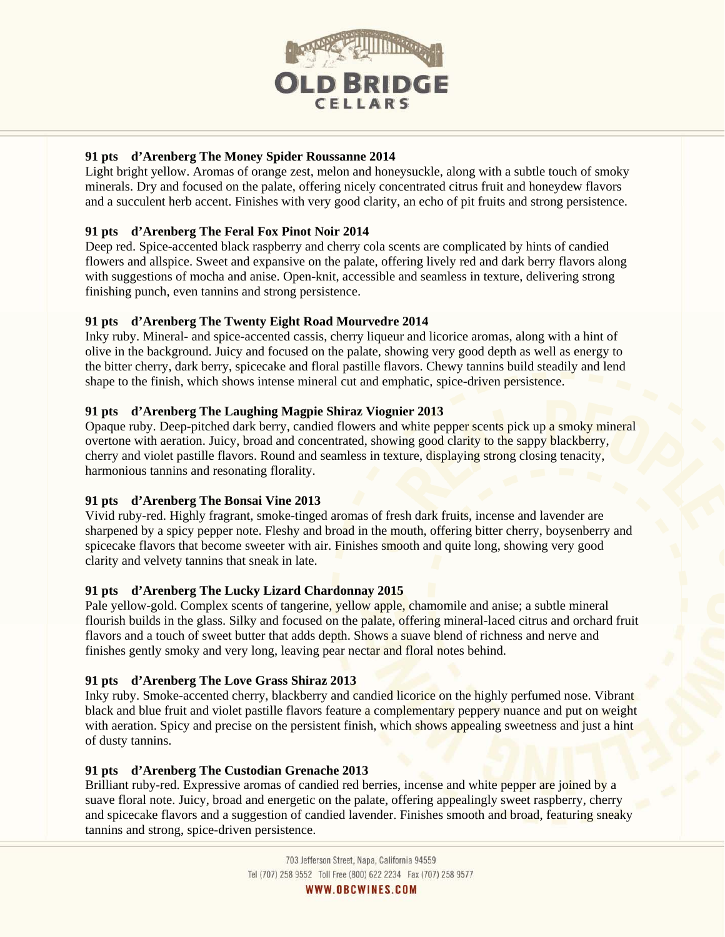

## **91 pts d'Arenberg The Money Spider Roussanne 2014**

Light bright yellow. Aromas of orange zest, melon and honeysuckle, along with a subtle touch of smoky minerals. Dry and focused on the palate, offering nicely concentrated citrus fruit and honeydew flavors and a succulent herb accent. Finishes with very good clarity, an echo of pit fruits and strong persistence.

## **91 pts d'Arenberg The Feral Fox Pinot Noir 2014**

Deep red. Spice-accented black raspberry and cherry cola scents are complicated by hints of candied flowers and allspice. Sweet and expansive on the palate, offering lively red and dark berry flavors along with suggestions of mocha and anise. Open-knit, accessible and seamless in texture, delivering strong finishing punch, even tannins and strong persistence.

## **91 pts d'Arenberg The Twenty Eight Road Mourvedre 2014**

Inky ruby. Mineral- and spice-accented cassis, cherry liqueur and licorice aromas, along with a hint of olive in the background. Juicy and focused on the palate, showing very good depth as well as energy to the bitter cherry, dark berry, spicecake and floral pastille flavors. Chewy tannins build steadily and lend shape to the finish, which shows intense mineral cut and emphatic, spice-driven persistence.

## **91 pts d'Arenberg The Laughing Magpie Shiraz Viognier 2013**

Opaque ruby. Deep-pitched dark berry, candied flowers and white pepper scents pick up a smoky mineral overtone with aeration. Juicy, broad and concentrated, showing good clarity to the sappy blackberry, cherry and violet pastille flavors. Round and seamless in texture, displaying strong closing tenacity, harmonious tannins and resonating florality.

## **91 pts d'Arenberg The Bonsai Vine 2013**

Vivid ruby-red. Highly fragrant, smoke-tinged aromas of fresh dark fruits, incense and lavender are sharpened by a spicy pepper note. Fleshy and broad in the mouth, offering bitter cherry, boysenberry and spicecake flavors that become sweeter with air. Finishes smooth and quite long, showing very good clarity and velvety tannins that sneak in late.

## **91 pts d'Arenberg The Lucky Lizard Chardonnay 2015**

Pale yellow-gold. Complex scents of tangerine, yellow apple, chamomile and anise; a subtle mineral flourish builds in the glass. Silky and focused on the palate, offering mineral-laced citrus and orchard fruit flavors and a touch of sweet butter that adds depth. Shows a suave blend of richness and nerve and finishes gently smoky and very long, leaving pear nectar and floral notes behind.

## **91 pts d'Arenberg The Love Grass Shiraz 2013**

Inky ruby. Smoke-accented cherry, blackberry and candied licorice on the highly perfumed nose. Vibrant black and blue fruit and violet pastille flavors feature a complementary peppery nuance and put on weight with aeration. Spicy and precise on the persistent finish, which shows appealing sweetness and just a hint of dusty tannins.

## **91 pts d'Arenberg The Custodian Grenache 2013**

Brilliant ruby-red. Expressive aromas of candied red berries, incense and white pepper are joined by a suave floral note. Juicy, broad and energetic on the palate, offering appealingly sweet raspberry, cherry and spicecake flavors and a suggestion of candied lavender. Finishes smooth and broad, featuring sneaky tannins and strong, spice-driven persistence.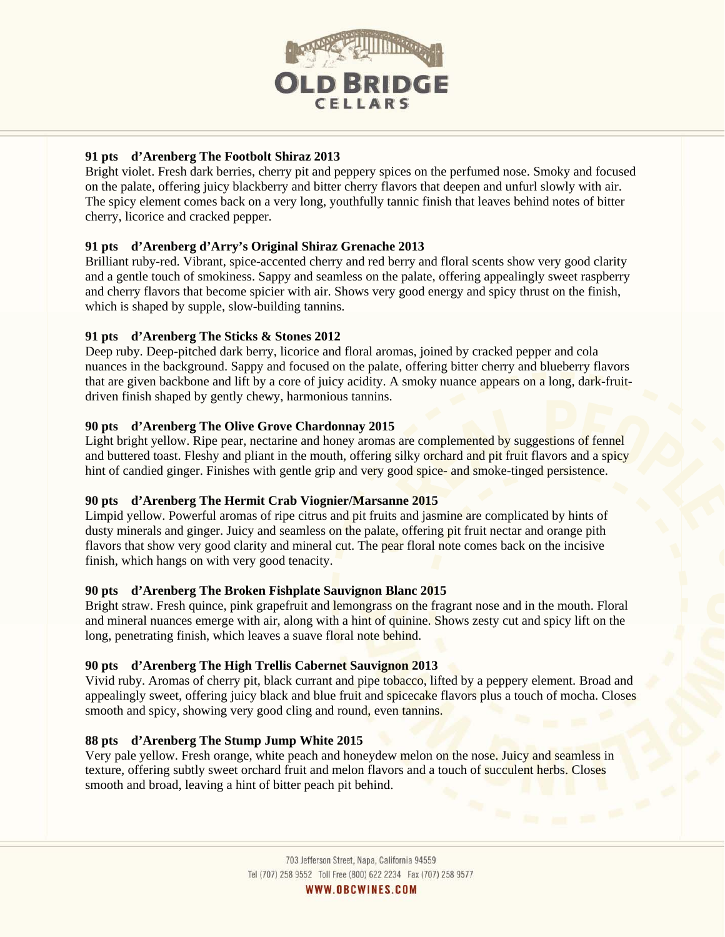

## **91 pts d'Arenberg The Footbolt Shiraz 2013**

Bright violet. Fresh dark berries, cherry pit and peppery spices on the perfumed nose. Smoky and focused on the palate, offering juicy blackberry and bitter cherry flavors that deepen and unfurl slowly with air. The spicy element comes back on a very long, youthfully tannic finish that leaves behind notes of bitter cherry, licorice and cracked pepper.

## **91 pts d'Arenberg d'Arry's Original Shiraz Grenache 2013**

Brilliant ruby-red. Vibrant, spice-accented cherry and red berry and floral scents show very good clarity and a gentle touch of smokiness. Sappy and seamless on the palate, offering appealingly sweet raspberry and cherry flavors that become spicier with air. Shows very good energy and spicy thrust on the finish, which is shaped by supple, slow-building tannins.

## **91 pts d'Arenberg The Sticks & Stones 2012**

Deep ruby. Deep-pitched dark berry, licorice and floral aromas, joined by cracked pepper and cola nuances in the background. Sappy and focused on the palate, offering bitter cherry and blueberry flavors that are given backbone and lift by a core of juicy acidity. A smoky nuance appears on a long, dark-fruitdriven finish shaped by gently chewy, harmonious tannins.

## **90 pts d'Arenberg The Olive Grove Chardonnay 2015**

Light bright yellow. Ripe pear, nectarine and honey aromas are complemented by suggestions of fennel and buttered toast. Fleshy and pliant in the mouth, offering silky orchard and pit fruit flavors and a spicy hint of candied ginger. Finishes with gentle grip and very good spice- and smoke-tinged persistence.

## **90 pts d'Arenberg The Hermit Crab Viognier/Marsanne 2015**

Limpid yellow. Powerful aromas of ripe citrus and pit fruits and jasmine are complicated by hints of dusty minerals and ginger. Juicy and seamless on the palate, offering pit fruit nectar and orange pith flavors that show very good clarity and mineral cut. The pear floral note comes back on the incisive finish, which hangs on with very good tenacity.

## **90 pts d'Arenberg The Broken Fishplate Sauvignon Blanc 2015**

Bright straw. Fresh quince, pink grapefruit and lemongrass on the fragrant nose and in the mouth. Floral and mineral nuances emerge with air, along with a hint of quinine. Shows zesty cut and spicy lift on the long, penetrating finish, which leaves a suave floral note behind.

## **90 pts d'Arenberg The High Trellis Cabernet Sauvignon 2013**

Vivid ruby. Aromas of cherry pit, black currant and pipe tobacco, lifted by a peppery element. Broad and appealingly sweet, offering juicy black and blue fruit and spicecake flavors plus a touch of mocha. Closes smooth and spicy, showing very good cling and round, even tannins.

## **88 pts d'Arenberg The Stump Jump White 2015**

Very pale yellow. Fresh orange, white peach and honeydew melon on the nose. Juicy and seamless in texture, offering subtly sweet orchard fruit and melon flavors and a touch of succulent herbs. Closes smooth and broad, leaving a hint of bitter peach pit behind.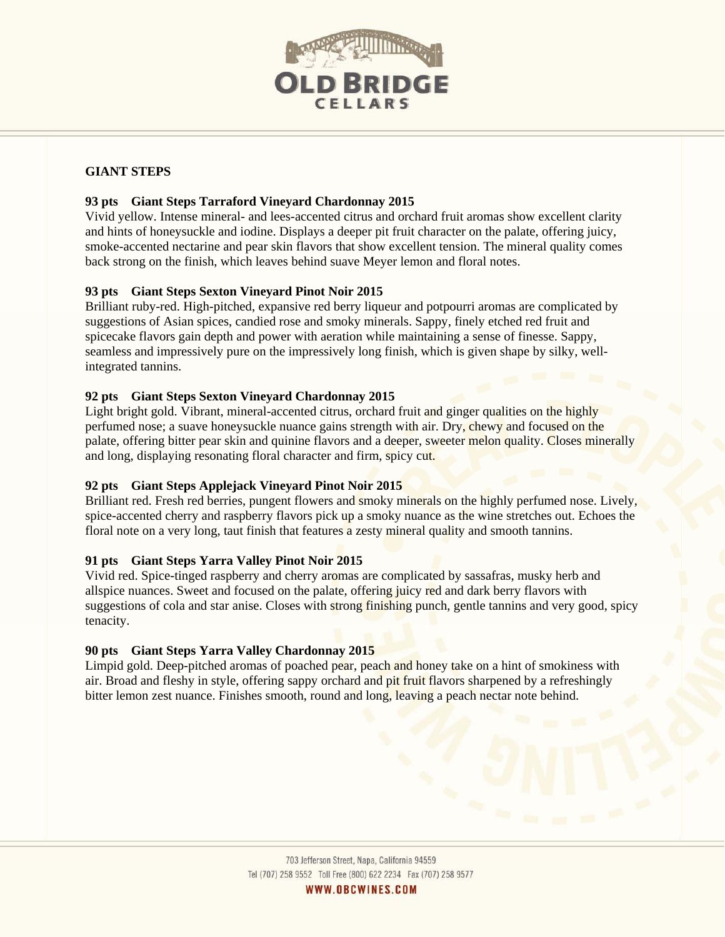

# **GIANT STEPS**

## **93 pts Giant Steps Tarraford Vineyard Chardonnay 2015**

Vivid yellow. Intense mineral- and lees-accented citrus and orchard fruit aromas show excellent clarity and hints of honeysuckle and iodine. Displays a deeper pit fruit character on the palate, offering juicy, smoke-accented nectarine and pear skin flavors that show excellent tension. The mineral quality comes back strong on the finish, which leaves behind suave Meyer lemon and floral notes.

## **93 pts Giant Steps Sexton Vineyard Pinot Noir 2015**

Brilliant ruby-red. High-pitched, expansive red berry liqueur and potpourri aromas are complicated by suggestions of Asian spices, candied rose and smoky minerals. Sappy, finely etched red fruit and spicecake flavors gain depth and power with aeration while maintaining a sense of finesse. Sappy, seamless and impressively pure on the impressively long finish, which is given shape by silky, wellintegrated tannins.

## **92 pts Giant Steps Sexton Vineyard Chardonnay 2015**

Light bright gold. Vibrant, mineral-accented citrus, orchard fruit and ginger qualities on the highly perfumed nose; a suave honeysuckle nuance gains strength with air. Dry, chewy and focused on the palate, offering bitter pear skin and quinine flavors and a deeper, sweeter melon quality. Closes minerally and long, displaying resonating floral character and firm, spicy cut.

## **92 pts Giant Steps Applejack Vineyard Pinot Noir 2015**

Brilliant red. Fresh red berries, pungent flowers and smoky minerals on the highly perfumed nose. Lively, spice-accented cherry and raspberry flavors pick up a smoky nuance as the wine stretches out. Echoes the floral note on a very long, taut finish that features a zesty mineral quality and smooth tannins.

## **91 pts Giant Steps Yarra Valley Pinot Noir 2015**

Vivid red. Spice-tinged raspberry and cherry aromas are complicated by sassafras, musky herb and allspice nuances. Sweet and focused on the palate, offering juicy red and dark berry flavors with suggestions of cola and star anise. Closes with strong finishing punch, gentle tannins and very good, spicy tenacity.

## **90 pts Giant Steps Yarra Valley Chardonnay 2015**

Limpid gold. Deep-pitched aromas of poached pear, peach and honey take on a hint of smokiness with air. Broad and fleshy in style, offering sappy orchard and pit fruit flavors sharpened by a refreshingly bitter lemon zest nuance. Finishes smooth, round and long, leaving a peach nectar note behind.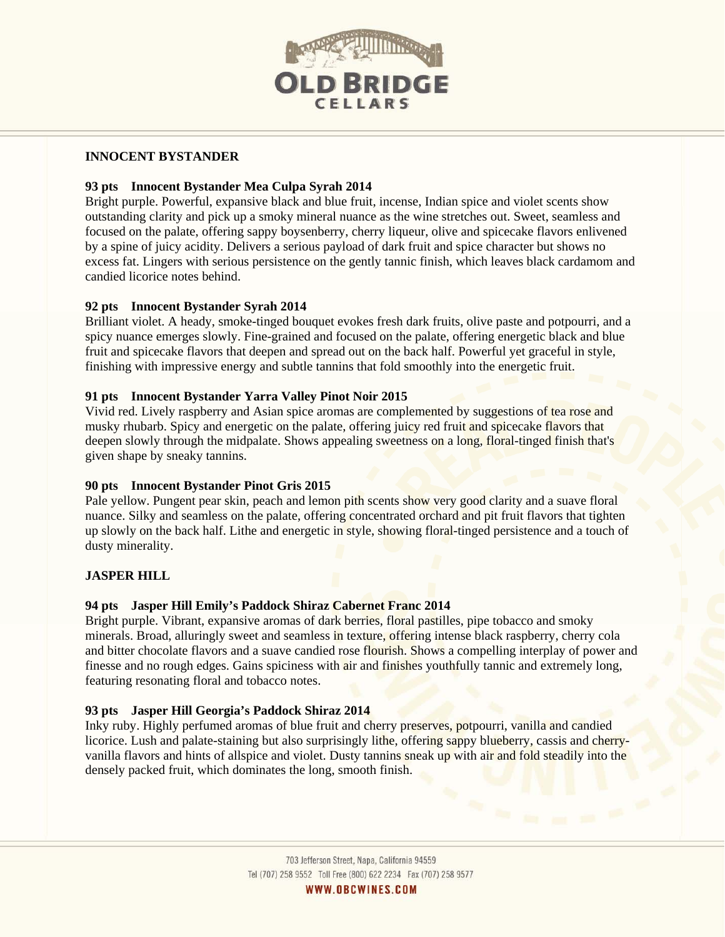

## **INNOCENT BYSTANDER**

## **93 pts Innocent Bystander Mea Culpa Syrah 2014**

Bright purple. Powerful, expansive black and blue fruit, incense, Indian spice and violet scents show outstanding clarity and pick up a smoky mineral nuance as the wine stretches out. Sweet, seamless and focused on the palate, offering sappy boysenberry, cherry liqueur, olive and spicecake flavors enlivened by a spine of juicy acidity. Delivers a serious payload of dark fruit and spice character but shows no excess fat. Lingers with serious persistence on the gently tannic finish, which leaves black cardamom and candied licorice notes behind.

## **92 pts Innocent Bystander Syrah 2014**

Brilliant violet. A heady, smoke-tinged bouquet evokes fresh dark fruits, olive paste and potpourri, and a spicy nuance emerges slowly. Fine-grained and focused on the palate, offering energetic black and blue fruit and spicecake flavors that deepen and spread out on the back half. Powerful yet graceful in style, finishing with impressive energy and subtle tannins that fold smoothly into the energetic fruit.

#### **91 pts Innocent Bystander Yarra Valley Pinot Noir 2015**

Vivid red. Lively raspberry and Asian spice aromas are complemented by suggestions of tea rose and musky rhubarb. Spicy and energetic on the palate, offering juicy red fruit and spicecake flavors that deepen slowly through the midpalate. Shows appealing sweetness on a long, floral-tinged finish that's given shape by sneaky tannins.

#### **90 pts Innocent Bystander Pinot Gris 2015**

Pale yellow. Pungent pear skin, peach and lemon pith scents show very good clarity and a suave floral nuance. Silky and seamless on the palate, offering concentrated orchard and pit fruit flavors that tighten up slowly on the back half. Lithe and energetic in style, showing floral-tinged persistence and a touch of dusty minerality.

## **JASPER HILL**

## **94 pts Jasper Hill Emily's Paddock Shiraz Cabernet Franc 2014**

Bright purple. Vibrant, expansive aromas of dark berries, floral pastilles, pipe tobacco and smoky minerals. Broad, alluringly sweet and seamless in texture, offering intense black raspberry, cherry cola and bitter chocolate flavors and a suave candied rose flourish. Shows a compelling interplay of power and finesse and no rough edges. Gains spiciness with air and finishes youthfully tannic and extremely long, featuring resonating floral and tobacco notes.

## **93 pts Jasper Hill Georgia's Paddock Shiraz 2014**

Inky ruby. Highly perfumed aromas of blue fruit and cherry preserves, potpourri, vanilla and candied licorice. Lush and palate-staining but also surprisingly lithe, offering sappy blueberry, cassis and cherryvanilla flavors and hints of allspice and violet. Dusty tannins sneak up with air and fold steadily into the densely packed fruit, which dominates the long, smooth finish.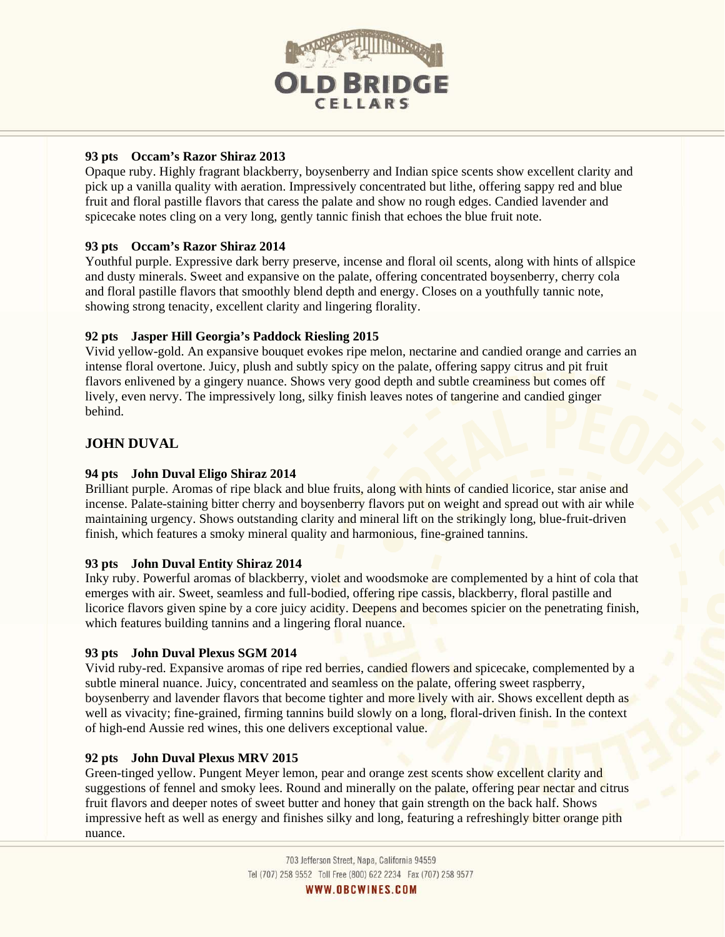

## **93 pts Occam's Razor Shiraz 2013**

Opaque ruby. Highly fragrant blackberry, boysenberry and Indian spice scents show excellent clarity and pick up a vanilla quality with aeration. Impressively concentrated but lithe, offering sappy red and blue fruit and floral pastille flavors that caress the palate and show no rough edges. Candied lavender and spicecake notes cling on a very long, gently tannic finish that echoes the blue fruit note.

## **93 pts Occam's Razor Shiraz 2014**

Youthful purple. Expressive dark berry preserve, incense and floral oil scents, along with hints of allspice and dusty minerals. Sweet and expansive on the palate, offering concentrated boysenberry, cherry cola and floral pastille flavors that smoothly blend depth and energy. Closes on a youthfully tannic note, showing strong tenacity, excellent clarity and lingering florality.

## **92 pts Jasper Hill Georgia's Paddock Riesling 2015**

Vivid yellow-gold. An expansive bouquet evokes ripe melon, nectarine and candied orange and carries an intense floral overtone. Juicy, plush and subtly spicy on the palate, offering sappy citrus and pit fruit flavors enlivened by a gingery nuance. Shows very good depth and subtle creaminess but comes off lively, even nervy. The impressively long, silky finish leaves notes of tangerine and candied ginger behind.

# **JOHN DUVAL**

## **94 pts John Duval Eligo Shiraz 2014**

Brilliant purple. Aromas of ripe black and blue fruits, along with hints of candied licorice, star anise and incense. Palate-staining bitter cherry and boysenberry flavors put on weight and spread out with air while maintaining urgency. Shows outstanding clarity and mineral lift on the strikingly long, blue-fruit-driven finish, which features a smoky mineral quality and harmonious, fine-grained tannins.

## **93 pts John Duval Entity Shiraz 2014**

Inky ruby. Powerful aromas of blackberry, violet and woodsmoke are complemented by a hint of cola that emerges with air. Sweet, seamless and full-bodied, offering ripe cassis, blackberry, floral pastille and licorice flavors given spine by a core juicy acidity. Deepens and becomes spicier on the penetrating finish, which features building tannins and a lingering floral nuance.

## **93 pts John Duval Plexus SGM 2014**

Vivid ruby-red. Expansive aromas of ripe red berries, candied flowers and spicecake, complemented by a subtle mineral nuance. Juicy, concentrated and seamless on the palate, offering sweet raspberry, boysenberry and lavender flavors that become tighter and more lively with air. Shows excellent depth as well as vivacity; fine-grained, firming tannins build slowly on a long, floral-driven finish. In the context of high-end Aussie red wines, this one delivers exceptional value.

## **92 pts John Duval Plexus MRV 2015**

Green-tinged yellow. Pungent Meyer lemon, pear and orange zest scents show excellent clarity and suggestions of fennel and smoky lees. Round and minerally on the palate, offering pear nectar and citrus fruit flavors and deeper notes of sweet butter and honey that gain strength on the back half. Shows impressive heft as well as energy and finishes silky and long, featuring a refreshingly bitter orange pith nuance.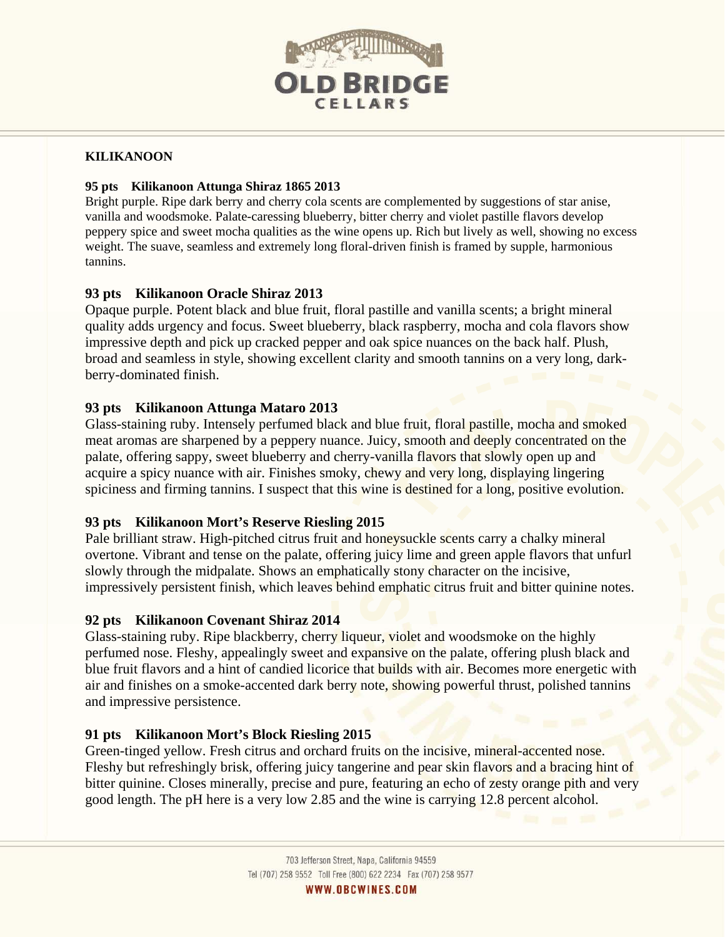

## **KILIKANOON**

## **95 pts Kilikanoon Attunga Shiraz 1865 2013**

Bright purple. Ripe dark berry and cherry cola scents are complemented by suggestions of star anise, vanilla and woodsmoke. Palate-caressing blueberry, bitter cherry and violet pastille flavors develop peppery spice and sweet mocha qualities as the wine opens up. Rich but lively as well, showing no excess weight. The suave, seamless and extremely long floral-driven finish is framed by supple, harmonious tannins.

# **93 pts Kilikanoon Oracle Shiraz 2013**

Opaque purple. Potent black and blue fruit, floral pastille and vanilla scents; a bright mineral quality adds urgency and focus. Sweet blueberry, black raspberry, mocha and cola flavors show impressive depth and pick up cracked pepper and oak spice nuances on the back half. Plush, broad and seamless in style, showing excellent clarity and smooth tannins on a very long, darkberry-dominated finish.

# **93 pts Kilikanoon Attunga Mataro 2013**

Glass-staining ruby. Intensely perfumed black and blue fruit, floral pastille, mocha and smoked meat aromas are sharpened by a peppery nuance. Juicy, smooth and deeply concentrated on the palate, offering sappy, sweet blueberry and cherry-vanilla flavors that slowly open up and acquire a spicy nuance with air. Finishes smoky, chewy and very long, displaying lingering spiciness and firming tannins. I suspect that this wine is destined for a long, positive evolution.

# **93 pts Kilikanoon Mort's Reserve Riesling 2015**

Pale brilliant straw. High-pitched citrus fruit and honeysuckle scents carry a chalky mineral overtone. Vibrant and tense on the palate, offering juicy lime and green apple flavors that unfurl slowly through the midpalate. Shows an emphatically stony character on the incisive, impressively persistent finish, which leaves behind emphatic citrus fruit and bitter quinine notes.

# **92 pts Kilikanoon Covenant Shiraz 2014**

Glass-staining ruby. Ripe blackberry, cherry liqueur, violet and woodsmoke on the highly perfumed nose. Fleshy, appealingly sweet and expansive on the palate, offering plush black and blue fruit flavors and a hint of candied licorice that builds with air. Becomes more energetic with air and finishes on a smoke-accented dark berry note, showing powerful thrust, polished tannins and impressive persistence.

# **91 pts Kilikanoon Mort's Block Riesling 2015**

Green-tinged yellow. Fresh citrus and orchard fruits on the incisive, mineral-accented nose. Fleshy but refreshingly brisk, offering juicy tangerine and pear skin flavors and a bracing hint of bitter quinine. Closes minerally, precise and pure, featuring an echo of zesty orange pith and very good length. The pH here is a very low 2.85 and the wine is carrying 12.8 percent alcohol.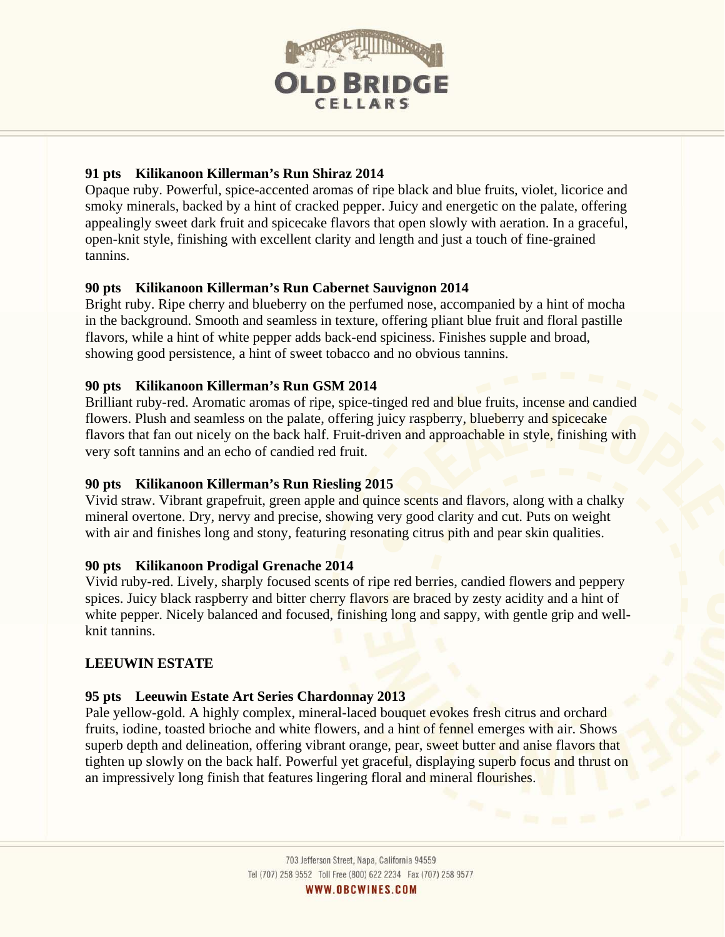

# **91 pts Kilikanoon Killerman's Run Shiraz 2014**

Opaque ruby. Powerful, spice-accented aromas of ripe black and blue fruits, violet, licorice and smoky minerals, backed by a hint of cracked pepper. Juicy and energetic on the palate, offering appealingly sweet dark fruit and spicecake flavors that open slowly with aeration. In a graceful, open-knit style, finishing with excellent clarity and length and just a touch of fine-grained tannins.

# **90 pts Kilikanoon Killerman's Run Cabernet Sauvignon 2014**

Bright ruby. Ripe cherry and blueberry on the perfumed nose, accompanied by a hint of mocha in the background. Smooth and seamless in texture, offering pliant blue fruit and floral pastille flavors, while a hint of white pepper adds back-end spiciness. Finishes supple and broad, showing good persistence, a hint of sweet tobacco and no obvious tannins.

# **90 pts Kilikanoon Killerman's Run GSM 2014**

Brilliant ruby-red. Aromatic aromas of ripe, spice-tinged red and blue fruits, incense and candied flowers. Plush and seamless on the palate, offering juicy raspberry, blueberry and spicecake flavors that fan out nicely on the back half. Fruit-driven and approachable in style, finishing with very soft tannins and an echo of candied red fruit.

# **90 pts Kilikanoon Killerman's Run Riesling 2015**

Vivid straw. Vibrant grapefruit, green apple and quince scents and flavors, along with a chalky mineral overtone. Dry, nervy and precise, showing very good clarity and cut. Puts on weight with air and finishes long and stony, featuring resonating citrus pith and pear skin qualities.

# **90 pts Kilikanoon Prodigal Grenache 2014**

Vivid ruby-red. Lively, sharply focused scents of ripe red berries, candied flowers and peppery spices. Juicy black raspberry and bitter cherry flavors are braced by zesty acidity and a hint of white pepper. Nicely balanced and focused, finishing long and sappy, with gentle grip and wellknit tannins.

# **LEEUWIN ESTATE**

# **95 pts Leeuwin Estate Art Series Chardonnay 2013**

Pale yellow-gold. A highly complex, mineral-laced bouquet evokes fresh citrus and orchard fruits, iodine, toasted brioche and white flowers, and a hint of fennel emerges with air. Shows superb depth and delineation, offering vibrant orange, pear, sweet butter and anise flavors that tighten up slowly on the back half. Powerful yet graceful, displaying superb focus and thrust on an impressively long finish that features lingering floral and mineral flourishes.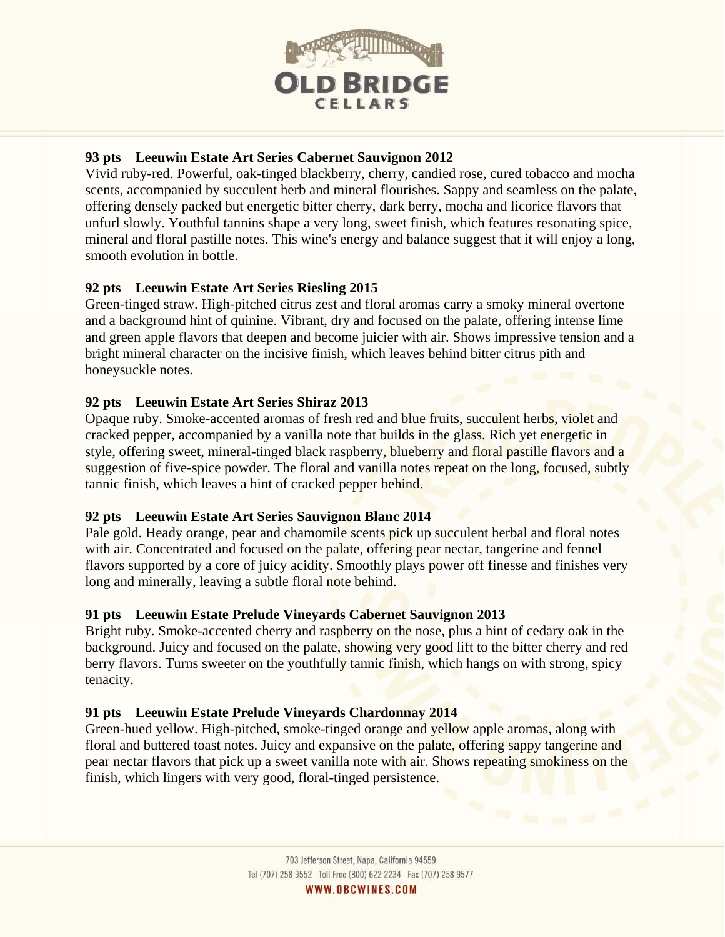

# **93 pts Leeuwin Estate Art Series Cabernet Sauvignon 2012**

Vivid ruby-red. Powerful, oak-tinged blackberry, cherry, candied rose, cured tobacco and mocha scents, accompanied by succulent herb and mineral flourishes. Sappy and seamless on the palate, offering densely packed but energetic bitter cherry, dark berry, mocha and licorice flavors that unfurl slowly. Youthful tannins shape a very long, sweet finish, which features resonating spice, mineral and floral pastille notes. This wine's energy and balance suggest that it will enjoy a long, smooth evolution in bottle.

# **92 pts Leeuwin Estate Art Series Riesling 2015**

Green-tinged straw. High-pitched citrus zest and floral aromas carry a smoky mineral overtone and a background hint of quinine. Vibrant, dry and focused on the palate, offering intense lime and green apple flavors that deepen and become juicier with air. Shows impressive tension and a bright mineral character on the incisive finish, which leaves behind bitter citrus pith and honeysuckle notes.

# **92 pts Leeuwin Estate Art Series Shiraz 2013**

Opaque ruby. Smoke-accented aromas of fresh red and blue fruits, succulent herbs, violet and cracked pepper, accompanied by a vanilla note that builds in the glass. Rich yet energetic in style, offering sweet, mineral-tinged black raspberry, blueberry and floral pastille flavors and a suggestion of five-spice powder. The floral and vanilla notes repeat on the long, focused, subtly tannic finish, which leaves a hint of cracked pepper behind.

# **92 pts Leeuwin Estate Art Series Sauvignon Blanc 2014**

Pale gold. Heady orange, pear and chamomile scents pick up succulent herbal and floral notes with air. Concentrated and focused on the palate, offering pear nectar, tangerine and fennel flavors supported by a core of juicy acidity. Smoothly plays power off finesse and finishes very long and minerally, leaving a subtle floral note behind.

# **91 pts Leeuwin Estate Prelude Vineyards Cabernet Sauvignon 2013**

Bright ruby. Smoke-accented cherry and raspberry on the nose, plus a hint of cedary oak in the background. Juicy and focused on the palate, showing very good lift to the bitter cherry and red berry flavors. Turns sweeter on the youthfully tannic finish, which hangs on with strong, spicy tenacity.

# **91 pts Leeuwin Estate Prelude Vineyards Chardonnay 2014**

Green-hued yellow. High-pitched, smoke-tinged orange and yellow apple aromas, along with floral and buttered toast notes. Juicy and expansive on the palate, offering sappy tangerine and pear nectar flavors that pick up a sweet vanilla note with air. Shows repeating smokiness on the finish, which lingers with very good, floral-tinged persistence.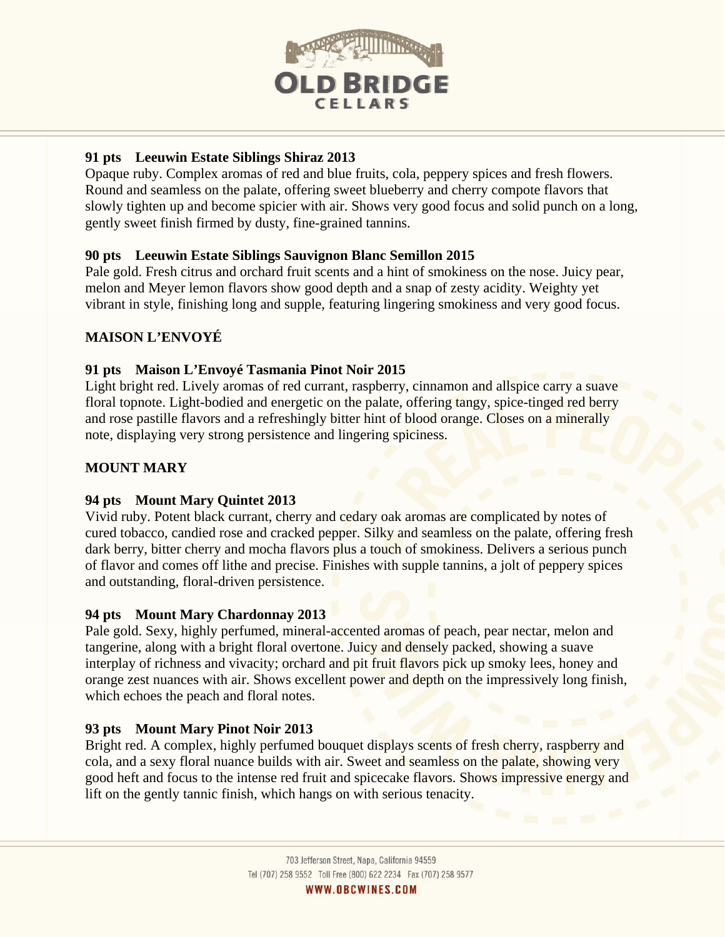

# **91 pts Leeuwin Estate Siblings Shiraz 2013**

Opaque ruby. Complex aromas of red and blue fruits, cola, peppery spices and fresh flowers. Round and seamless on the palate, offering sweet blueberry and cherry compote flavors that slowly tighten up and become spicier with air. Shows very good focus and solid punch on a long, gently sweet finish firmed by dusty, fine-grained tannins.

# **90 pts Leeuwin Estate Siblings Sauvignon Blanc Semillon 2015**

Pale gold. Fresh citrus and orchard fruit scents and a hint of smokiness on the nose. Juicy pear, melon and Meyer lemon flavors show good depth and a snap of zesty acidity. Weighty yet vibrant in style, finishing long and supple, featuring lingering smokiness and very good focus.

# **MAISON L'ENVOYÉ**

# **91 pts Maison L'Envoyé Tasmania Pinot Noir 2015**

Light bright red. Lively aromas of red currant, raspberry, cinnamon and allspice carry a suave floral topnote. Light-bodied and energetic on the palate, offering tangy, spice-tinged red berry and rose pastille flavors and a refreshingly bitter hint of blood orange. Closes on a minerally note, displaying very strong persistence and lingering spiciness.

# **MOUNT MARY**

# **94 pts Mount Mary Quintet 2013**

Vivid ruby. Potent black currant, cherry and cedary oak aromas are complicated by notes of cured tobacco, candied rose and cracked pepper. Silky and seamless on the palate, offering fresh dark berry, bitter cherry and mocha flavors plus a touch of smokiness. Delivers a serious punch of flavor and comes off lithe and precise. Finishes with supple tannins, a jolt of peppery spices and outstanding, floral-driven persistence.

# **94 pts Mount Mary Chardonnay 2013**

Pale gold. Sexy, highly perfumed, mineral-accented aromas of peach, pear nectar, melon and tangerine, along with a bright floral overtone. Juicy and densely packed, showing a suave interplay of richness and vivacity; orchard and pit fruit flavors pick up smoky lees, honey and orange zest nuances with air. Shows excellent power and depth on the impressively long finish, which echoes the peach and floral notes.

# **93 pts Mount Mary Pinot Noir 2013**

Bright red. A complex, highly perfumed bouquet displays scents of fresh cherry, raspberry and cola, and a sexy floral nuance builds with air. Sweet and seamless on the palate, showing very good heft and focus to the intense red fruit and spicecake flavors. Shows impressive energy and lift on the gently tannic finish, which hangs on with serious tenacity.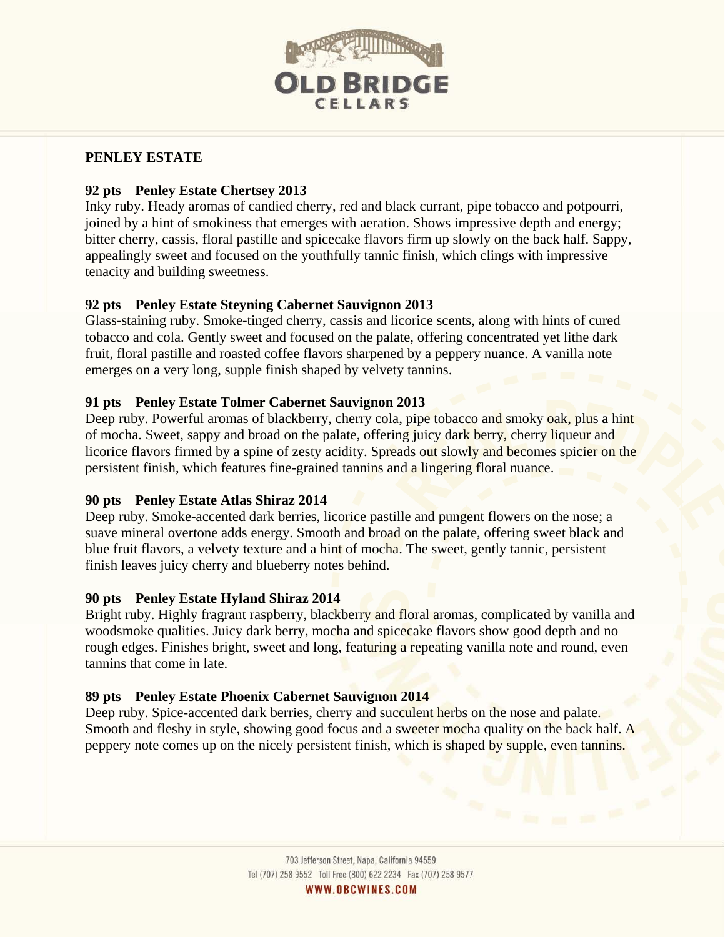

# **PENLEY ESTATE**

# **92 pts Penley Estate Chertsey 2013**

Inky ruby. Heady aromas of candied cherry, red and black currant, pipe tobacco and potpourri, joined by a hint of smokiness that emerges with aeration. Shows impressive depth and energy; bitter cherry, cassis, floral pastille and spicecake flavors firm up slowly on the back half. Sappy, appealingly sweet and focused on the youthfully tannic finish, which clings with impressive tenacity and building sweetness.

# **92 pts Penley Estate Steyning Cabernet Sauvignon 2013**

Glass-staining ruby. Smoke-tinged cherry, cassis and licorice scents, along with hints of cured tobacco and cola. Gently sweet and focused on the palate, offering concentrated yet lithe dark fruit, floral pastille and roasted coffee flavors sharpened by a peppery nuance. A vanilla note emerges on a very long, supple finish shaped by velvety tannins.

# **91 pts Penley Estate Tolmer Cabernet Sauvignon 2013**

Deep ruby. Powerful aromas of blackberry, cherry cola, pipe tobacco and smoky oak, plus a hint of mocha. Sweet, sappy and broad on the palate, offering juicy dark berry, cherry liqueur and licorice flavors firmed by a spine of zesty acidity. Spreads out slowly and becomes spicier on the persistent finish, which features fine-grained tannins and a lingering floral nuance.

# **90 pts Penley Estate Atlas Shiraz 2014**

Deep ruby. Smoke-accented dark berries, licorice pastille and pungent flowers on the nose; a suave mineral overtone adds energy. Smooth and broad on the palate, offering sweet black and blue fruit flavors, a velvety texture and a hint of mocha. The sweet, gently tannic, persistent finish leaves juicy cherry and blueberry notes behind.

# **90 pts Penley Estate Hyland Shiraz 2014**

Bright ruby. Highly fragrant raspberry, blackberry and floral aromas, complicated by vanilla and woodsmoke qualities. Juicy dark berry, mocha and spicecake flavors show good depth and no rough edges. Finishes bright, sweet and long, featuring a repeating vanilla note and round, even tannins that come in late.

# **89 pts Penley Estate Phoenix Cabernet Sauvignon 2014**

Deep ruby. Spice-accented dark berries, cherry and succulent herbs on the nose and palate. Smooth and fleshy in style, showing good focus and a sweeter mocha quality on the back half. A peppery note comes up on the nicely persistent finish, which is shaped by supple, even tannins.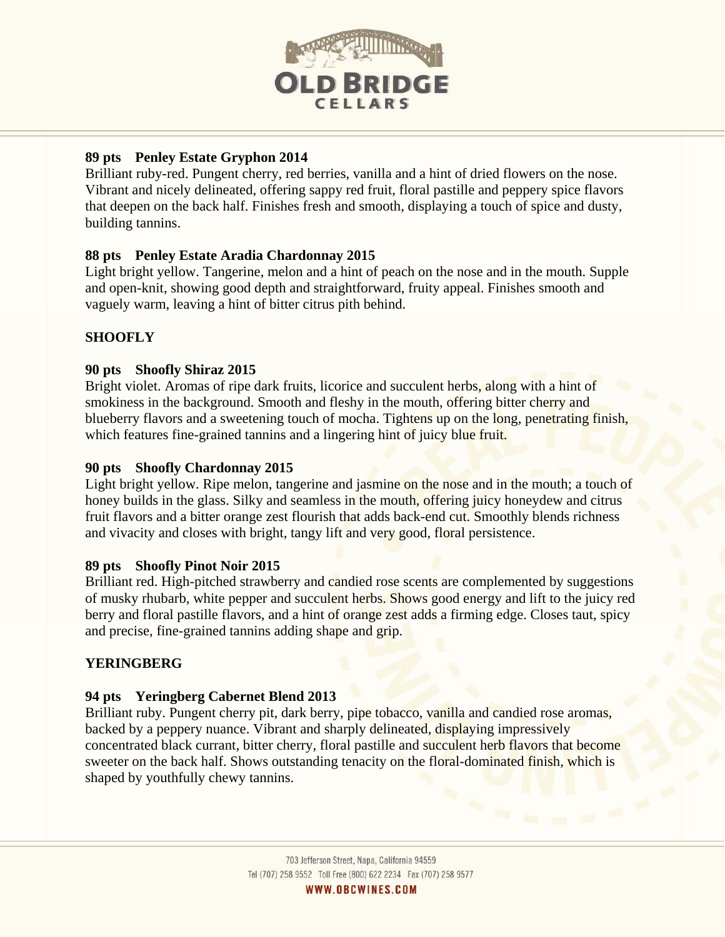

# **89 pts Penley Estate Gryphon 2014**

Brilliant ruby-red. Pungent cherry, red berries, vanilla and a hint of dried flowers on the nose. Vibrant and nicely delineated, offering sappy red fruit, floral pastille and peppery spice flavors that deepen on the back half. Finishes fresh and smooth, displaying a touch of spice and dusty, building tannins.

# **88 pts Penley Estate Aradia Chardonnay 2015**

Light bright yellow. Tangerine, melon and a hint of peach on the nose and in the mouth. Supple and open-knit, showing good depth and straightforward, fruity appeal. Finishes smooth and vaguely warm, leaving a hint of bitter citrus pith behind.

# **SHOOFLY**

# **90 pts Shoofly Shiraz 2015**

Bright violet. Aromas of ripe dark fruits, licorice and succulent herbs, along with a hint of smokiness in the background. Smooth and fleshy in the mouth, offering bitter cherry and blueberry flavors and a sweetening touch of mocha. Tightens up on the long, penetrating finish, which features fine-grained tannins and a lingering hint of juicy blue fruit.

# **90 pts Shoofly Chardonnay 2015**

Light bright yellow. Ripe melon, tangerine and jasmine on the nose and in the mouth; a touch of honey builds in the glass. Silky and seamless in the mouth, offering juicy honeydew and citrus fruit flavors and a bitter orange zest flourish that adds back-end cut. Smoothly blends richness and vivacity and closes with bright, tangy lift and very good, floral persistence.

# **89 pts Shoofly Pinot Noir 2015**

Brilliant red. High-pitched strawberry and candied rose scents are complemented by suggestions of musky rhubarb, white pepper and succulent herbs. Shows good energy and lift to the juicy red berry and floral pastille flavors, and a hint of orange zest adds a firming edge. Closes taut, spicy and precise, fine-grained tannins adding shape and grip.

# **YERINGBERG**

# **94 pts Yeringberg Cabernet Blend 2013**

Brilliant ruby. Pungent cherry pit, dark berry, pipe tobacco, vanilla and candied rose aromas, backed by a peppery nuance. Vibrant and sharply delineated, displaying impressively concentrated black currant, bitter cherry, floral pastille and succulent herb flavors that become sweeter on the back half. Shows outstanding tenacity on the floral-dominated finish, which is shaped by youthfully chewy tannins.